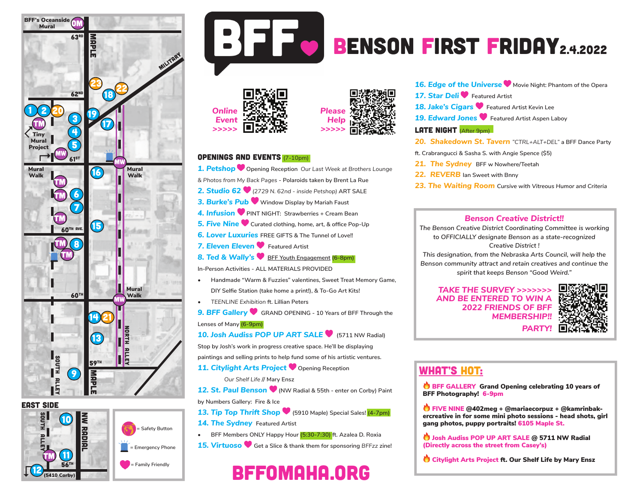





# BENSON FIRST FRIDAY<sub>2.4.2022</sub>





#### Openings and Events (7-10pm)

- *1. Petshop* **Opening Reception** *Our Last Week at Brothers Lounge & Photos from My Back Pages* **- Polaroids taken by Brent La Rue** *2. Studio 62 (2729 N. 62nd - inside Petshop)* **ART SALE** *3. Burke's Pub* **Window Display by Mariah Faust** *4. Infusion* **PINT NIGHT: Strawberries + Cream Bean** *5. Five Nine* **Curated clothing, home, art, & office Pop-Up** *6. Lover Luxuries* **FREE GIFTS & The Tunnel of Love!!** 7. Eleven Eleven **C** Featured Artist
- **8. Ted & Wally's BFF Youth Engagement (6-8pm)**
- **In-Person Activities ALL MATERIALS PROVIDED**
- **• Handmade "Warm & Fuzzies" valentines, Sweet Treat Memory Game, DIY Selfie Station (take home a print!), & To-Go Art Kits!**
- *• TEENLINE Exhibition* **ft. Lillian Peters**
- *9. BFF Gallery* **GRAND OPENING 10 Years of BFF Through the Lenses of Many (6-9pm)**
- **10. Josh Audiss POP UP ART SALE •** (5711 NW Radial) **Stop by Josh's work in progress creative space. He'll be displaying**
- **paintings and selling prints to help fund some of his artistic ventures.**
- **11. Citylight Arts Project Copening Reception** 
	- *Our Shelf Life* **// Mary Ensz**
- *12. St. Paul Benson* **(NW Radial & 55th enter on Corby) Paint by Numbers Gallery: Fire & Ice**
- **13. Tip Top Thrift Shop ♥** (5910 Maple) Special Sales! (4-7pm)
- **14. The Sydney** Featured Artist
- **• BFF Members ONLY Happy Hour (5:30-7:30) ft. Azalea D. Roxia**
- *15. Virtuoso* **Get a Slice & thank them for sponsoring** *BFFzz* **zine!**

## bffomaha.org

**16. Edge of the Universe W** Movie Night: Phantom of the Opera

- **17. Star Deli Featured Artist**
- **18. Jake's Cigars V** Featured Artist Kevin Lee
- **19. Edward Jones V** Featured Artist Aspen Laboy

#### **LATE NIGHT**  $(After 9pm)$

- *20. Shakedown St. Tavern "CTRL+ALT+DEL"* **a BFF Dance Party**
- **ft. Crabrangucci & Sasha S. with Angie Spence (\$5)**
- *21. The Sydney* **BFF w Nowhere/Teetah**
- *22. REVERB* **Ian Sweet with Bnny**
- *23. The Waiting Room Cursive with Vitreous Humor and Criteria*

## *Benson Creative District!!*

*The Benson Creative District Coordinating Committee is working to OFFICIALLY designate Benson as a state-recognized Creative District !*

*This designation, from the Nebraska Arts Council, will help the Benson community attract and retain creatives and continue the spirit that keeps Benson "Good Weird."*

*TAKE THE SURVEY >>>>>>> AND BE ENTERED TO WIN A 2022 FRIENDS OF BFF MEMBERSHIP!! PARTY!*



## WHAT'S HOT:

**BFF GALLERY Grand Opening celebrating 10 years of** BFF Photography! 6-9pm

 $\bigcirc$  FIVE NINE @402meg + @mariaecorpuz + @kamrinbakercreative in for some mini photo sessions - head shots, girl gang photos, puppy portraits! 6105 Maple St.

**Josh Audiss POP UP ART SALE @ 5711 NW Radial** (Directly across the street from Casey's)

Citylight Arts Project ft. Our Shelf Life by Mary Ensz